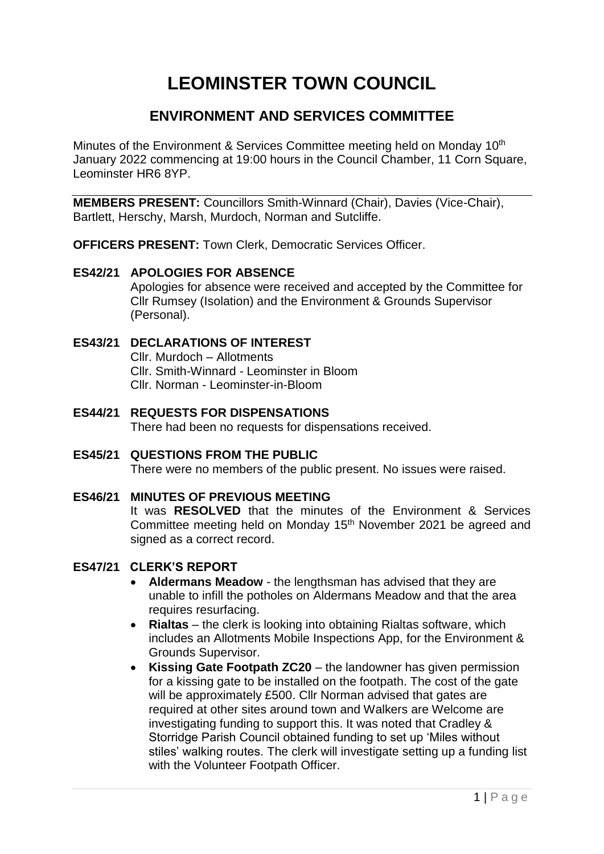# **LEOMINSTER TOWN COUNCIL**

## **ENVIRONMENT AND SERVICES COMMITTEE**

Minutes of the Environment & Services Committee meeting held on Monday 10<sup>th</sup> January 2022 commencing at 19:00 hours in the Council Chamber, 11 Corn Square, Leominster HR6 8YP.

**MEMBERS PRESENT:** Councillors Smith-Winnard (Chair), Davies (Vice-Chair), Bartlett, Herschy, Marsh, Murdoch, Norman and Sutcliffe.

**OFFICERS PRESENT:** Town Clerk, Democratic Services Officer.

#### **ES42/21 APOLOGIES FOR ABSENCE**

Apologies for absence were received and accepted by the Committee for Cllr Rumsey (Isolation) and the Environment & Grounds Supervisor (Personal).

#### **ES43/21 DECLARATIONS OF INTEREST**

Cllr. Murdoch – Allotments Cllr. Smith-Winnard - Leominster in Bloom Cllr. Norman - Leominster-in-Bloom

#### **ES44/21 REQUESTS FOR DISPENSATIONS** There had been no requests for dispensations received.

**ES45/21 QUESTIONS FROM THE PUBLIC** There were no members of the public present. No issues were raised.

#### **ES46/21 MINUTES OF PREVIOUS MEETING**

It was **RESOLVED** that the minutes of the Environment & Services Committee meeting held on Monday 15<sup>th</sup> November 2021 be agreed and signed as a correct record.

#### **ES47/21 CLERK'S REPORT**

- **Aldermans Meadow** the lengthsman has advised that they are unable to infill the potholes on Aldermans Meadow and that the area requires resurfacing.
- **Rialtas** the clerk is looking into obtaining Rialtas software, which includes an Allotments Mobile Inspections App, for the Environment & Grounds Supervisor.
- **Kissing Gate Footpath ZC20**  the landowner has given permission for a kissing gate to be installed on the footpath. The cost of the gate will be approximately £500. Cllr Norman advised that gates are required at other sites around town and Walkers are Welcome are investigating funding to support this. It was noted that Cradley & Storridge Parish Council obtained funding to set up 'Miles without stiles' walking routes. The clerk will investigate setting up a funding list with the Volunteer Footpath Officer.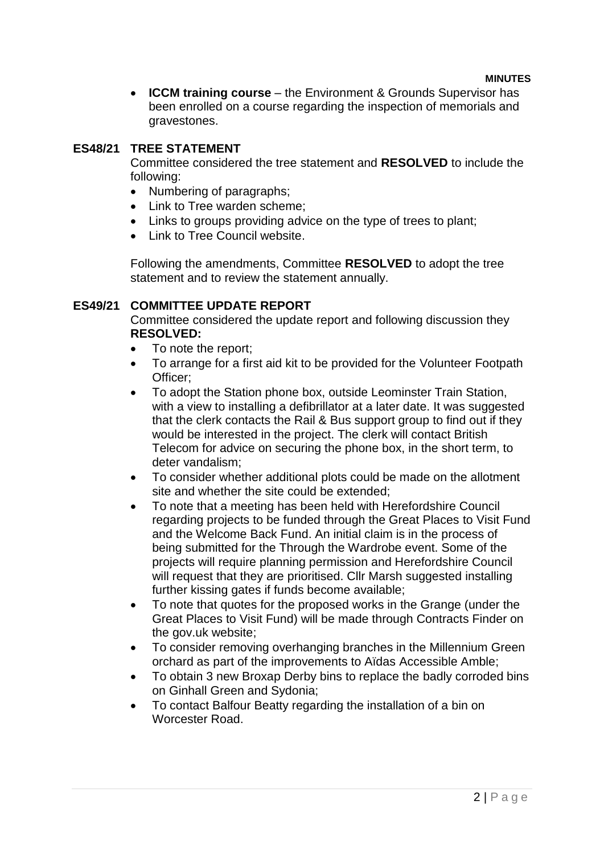**ICCM training course** – the Environment & Grounds Supervisor has been enrolled on a course regarding the inspection of memorials and gravestones.

#### **ES48/21 TREE STATEMENT**

Committee considered the tree statement and **RESOLVED** to include the following:

- Numbering of paragraphs;
- Link to Tree warden scheme:
- Links to groups providing advice on the type of trees to plant:
- Link to Tree Council website.

Following the amendments, Committee **RESOLVED** to adopt the tree statement and to review the statement annually.

#### **ES49/21 COMMITTEE UPDATE REPORT**

Committee considered the update report and following discussion they **RESOLVED:**

- To note the report;
- To arrange for a first aid kit to be provided for the Volunteer Footpath Officer;
- To adopt the Station phone box, outside Leominster Train Station, with a view to installing a defibrillator at a later date. It was suggested that the clerk contacts the Rail & Bus support group to find out if they would be interested in the project. The clerk will contact British Telecom for advice on securing the phone box, in the short term, to deter vandalism;
- To consider whether additional plots could be made on the allotment site and whether the site could be extended;
- To note that a meeting has been held with Herefordshire Council regarding projects to be funded through the Great Places to Visit Fund and the Welcome Back Fund. An initial claim is in the process of being submitted for the Through the Wardrobe event. Some of the projects will require planning permission and Herefordshire Council will request that they are prioritised. Cllr Marsh suggested installing further kissing gates if funds become available;
- To note that quotes for the proposed works in the Grange (under the Great Places to Visit Fund) will be made through Contracts Finder on the gov.uk website;
- To consider removing overhanging branches in the Millennium Green orchard as part of the improvements to Aïdas Accessible Amble;
- To obtain 3 new Broxap Derby bins to replace the badly corroded bins on Ginhall Green and Sydonia;
- To contact Balfour Beatty regarding the installation of a bin on Worcester Road.